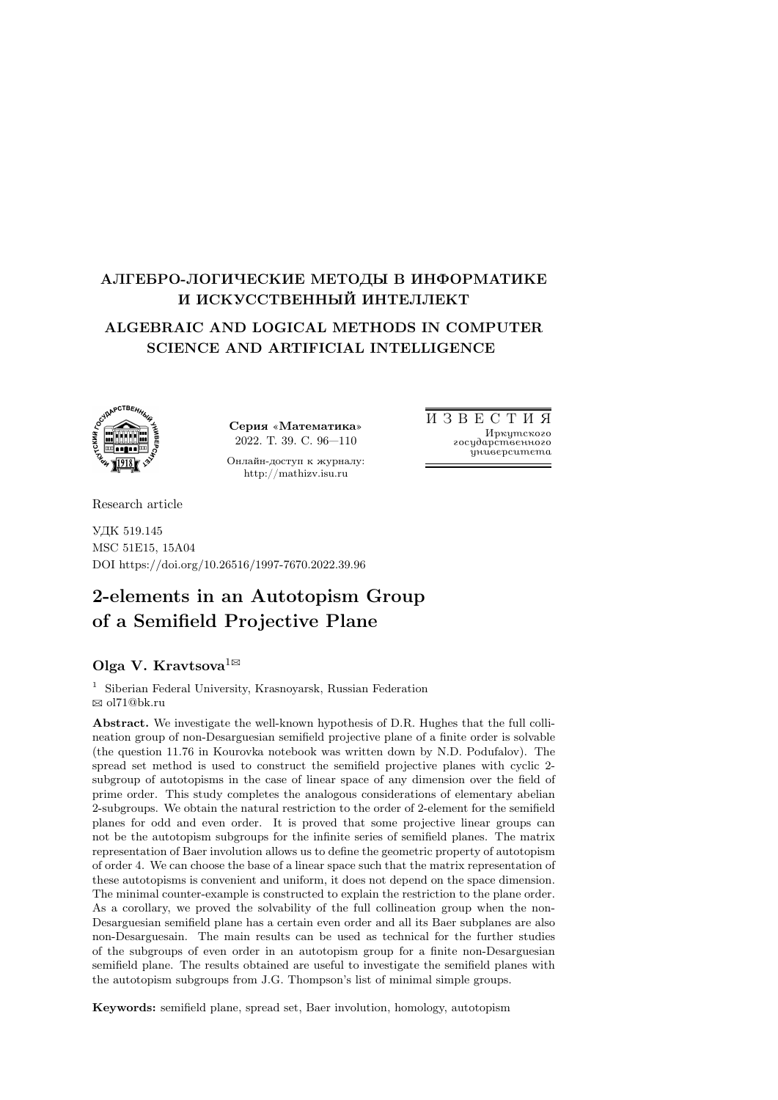# АЛГЕБРО-ЛОГИЧЕСКИЕ МЕТОДЫ В ИНФОРМАТИКЕ И ИСКУССТВЕННЫЙ ИНТЕЛЛЕКТ

# ALGEBRAIC AND LOGICAL METHODS IN COMPUTER SCIENCE AND ARTIFICIAL INTELLIGENCE



Серия «Математика» 2022. Т. 39. С. 96—110

Онлайн-доступ к журналу: http://mathizv.isu.ru

И З В Е С Т И Я Иркутского государственного университета

Research article

УДК 519.145 MSC 51E15, 15A04 DOI https://doi.org/10.26516/1997-7670.2022.39.96

# 2-elements in an Autotopism Group of a Semifield Projective Plane

# Olga V. Kravtsova $^{1\boxtimes}$

<sup>1</sup> Siberian Federal University, Krasnoyarsk, Russian Federation B ol71@bk.ru

Abstract. We investigate the well-known hypothesis of D.R. Hughes that the full collineation group of non-Desarguesian semifield projective plane of a finite order is solvable (the question 11.76 in Kourovka notebook was written down by N.D. Podufalov). The spread set method is used to construct the semifield projective planes with cyclic 2 subgroup of autotopisms in the case of linear space of any dimension over the field of prime order. This study completes the analogous considerations of elementary abelian 2-subgroups. We obtain the natural restriction to the order of 2-element for the semifield planes for odd and even order. It is proved that some projective linear groups can not be the autotopism subgroups for the infinite series of semifield planes. The matrix representation of Baer involution allows us to define the geometric property of autotopism of order 4. We can choose the base of a linear space such that the matrix representation of these autotopisms is convenient and uniform, it does not depend on the space dimension. The minimal counter-example is constructed to explain the restriction to the plane order. As a corollary, we proved the solvability of the full collineation group when the non-Desarguesian semifield plane has a certain even order and all its Baer subplanes are also non-Desarguesain. The main results can be used as technical for the further studies of the subgroups of even order in an autotopism group for a finite non-Desarguesian semifield plane. The results obtained are useful to investigate the semifield planes with the autotopism subgroups from J.G. Thompson's list of minimal simple groups.

Keywords: semifield plane, spread set, Baer involution, homology, autotopism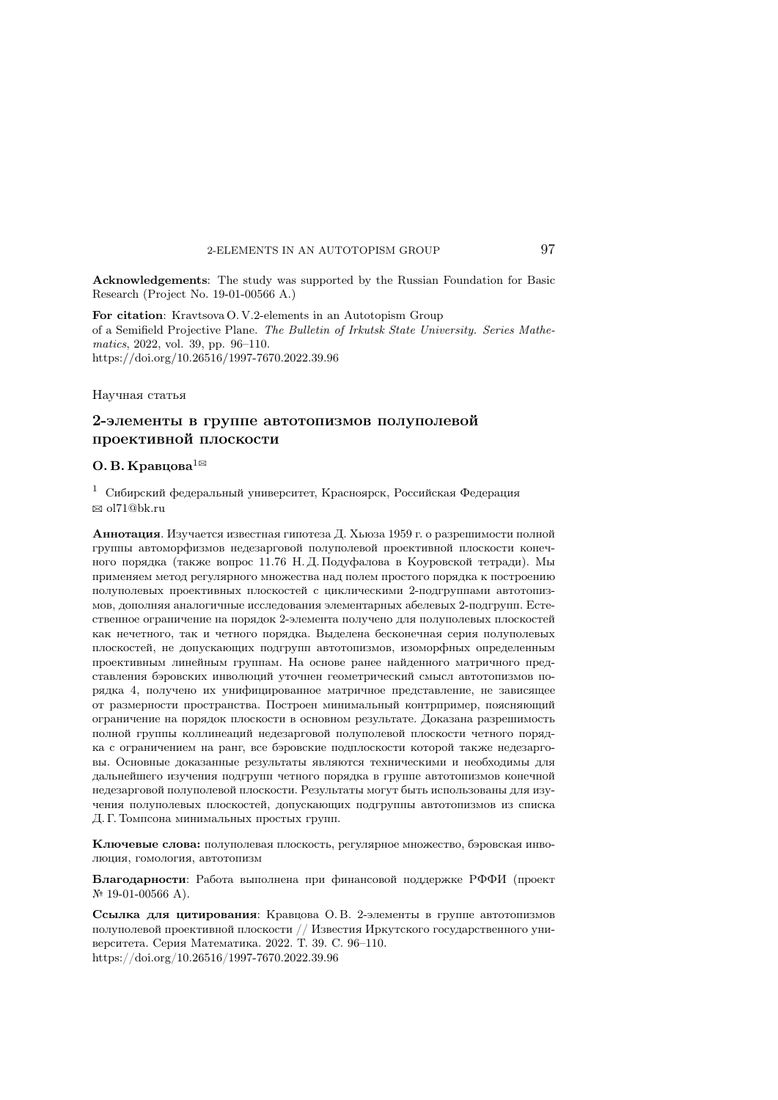Acknowledgements: The study was supported by the Russian Foundation for Basic Research (Project No. 19-01-00566 A.)

For citation: Kravtsova O. V.2-elements in an Autotopism Group of a Semifield Projective Plane. The Bulletin of Irkutsk State University. Series Mathematics, 2022, vol. 39, pp. 96–110. https://doi.org/10.26516/1997-7670.2022.39.96

Научная статья

## 2-элементы в группе автотопизмов полуполевой проективной плоскости

#### О. В. Кравцова $^{1\boxtimes}$

<sup>1</sup> Сибирский федеральный университет, Красноярск, Российская Федерация  $\boxtimes$  ol71@bk.ru

Аннотация. Изучается известная гипотеза Д. Хьюза 1959 г. о разрешимости полной группы автоморфизмов недезарговой полуполевой проективной плоскости конечного порядка (также вопрос 11.76 Н. Д. Подуфалова в Коуровской тетради). Мы применяем метод регулярного множества над полем простого порядка к построению полуполевых проективных плоскостей с циклическими 2-подгруппами автотопизмов, дополняя аналогичные исследования элементарных абелевых 2-подгрупп. Естественное ограничение на порядок 2-элемента получено для полуполевых плоскостей как нечетного, так и четного порядка. Выделена бесконечная серия полуполевых плоскостей, не допускающих подгрупп автотопизмов, изоморфных определенным проективным линейным группам. На основе ранее найденного матричного представления бэровских инволюций уточнен геометрический смысл автотопизмов порядка 4, получено их унифицированное матричное представление, не зависящее от размерности пространства. Построен минимальный контрпример, поясняющий ограничение на порядок плоскости в основном результате. Доказана разрешимость полной группы коллинеаций недезарговой полуполевой плоскости четного порядка с ограничением на ранг, все бэровские подплоскости которой также недезарговы. Основные доказанные результаты являются техническими и необходимы для дальнейшего изучения подгрупп четного порядка в группе автотопизмов конечной недезарговой полуполевой плоскости. Результаты могут быть использованы для изучения полуполевых плоскостей, допускающих подгруппы автотопизмов из списка Д. Г. Томпсона минимальных простых групп.

Ключевые слова: полуполевая плоскость, регулярное множество, бэровская инволюция, гомология, автотопизм

Благодарности: Работа выполнена при финансовой поддержке РФФИ (проект <sup>№</sup> 19-01-00566 A).

Ссылка для цитирования: Кравцова О. В. 2-элементы в группе автотопизмов полуполевой проективной плоскости // Известия Иркутского государственного университета. Серия Математика. 2022. Т. 39. C. 96–110. https://doi.org/10.26516/1997-7670.2022.39.96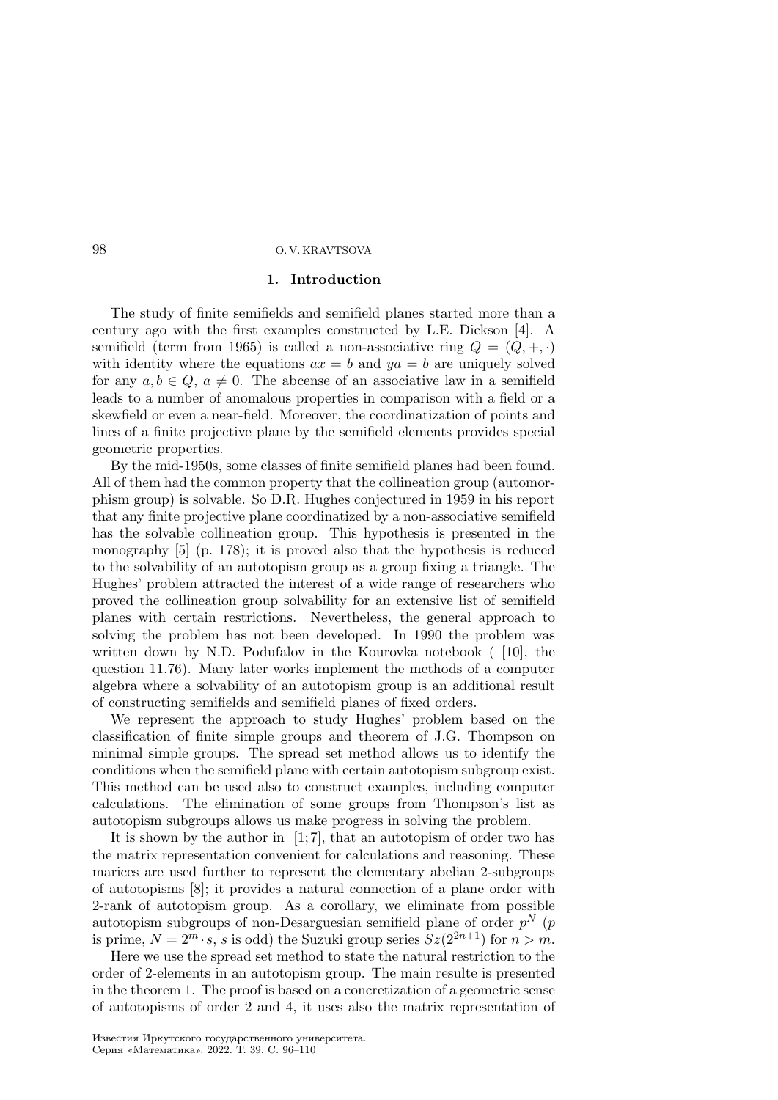### 1. Introduction

The study of finite semifields and semifield planes started more than a century ago with the first examples constructed by L.E. Dickson [4]. A semifield (term from 1965) is called a non-associative ring  $Q = (Q, +, \cdot)$ with identity where the equations  $ax = b$  and  $ya = b$  are uniquely solved for any  $a, b \in Q$ ,  $a \neq 0$ . The abcense of an associative law in a semifield leads to a number of anomalous properties in comparison with a field or a skewfield or even a near-field. Moreover, the coordinatization of points and lines of a finite projective plane by the semifield elements provides special geometric properties.

By the mid-1950s, some classes of finite semifield planes had been found. All of them had the common property that the collineation group (automorphism group) is solvable. So D.R. Hughes conjectured in 1959 in his report that any finite projective plane coordinatized by a non-associative semifield has the solvable collineation group. This hypothesis is presented in the monography [5] (p. 178); it is proved also that the hypothesis is reduced to the solvability of an autotopism group as a group fixing a triangle. The Hughes' problem attracted the interest of a wide range of researchers who proved the collineation group solvability for an extensive list of semifield planes with certain restrictions. Nevertheless, the general approach to solving the problem has not been developed. In 1990 the problem was written down by N.D. Podufalov in the Kourovka notebook (10), the question 11.76). Many later works implement the methods of a computer algebra where a solvability of an autotopism group is an additional result of constructing semifields and semifield planes of fixed orders.

We represent the approach to study Hughes' problem based on the classification of finite simple groups and theorem of J.G. Thompson on minimal simple groups. The spread set method allows us to identify the conditions when the semifield plane with certain autotopism subgroup exist. This method can be used also to construct examples, including computer calculations. The elimination of some groups from Thompson's list as autotopism subgroups allows us make progress in solving the problem.

It is shown by the author in [1; 7], that an autotopism of order two has the matrix representation convenient for calculations and reasoning. These marices are used further to represent the elementary abelian 2-subgroups of autotopisms [8]; it provides a natural connection of a plane order with 2-rank of autotopism group. As a corollary, we eliminate from possible autotopism subgroups of non-Desarguesian semifield plane of order  $p^N$  ( $p$ is prime,  $N = 2^m \cdot s$ , s is odd) the Suzuki group series  $Sz(2^{2n+1})$  for  $n > m$ .

Here we use the spread set method to state the natural restriction to the order of 2-elements in an autotopism group. The main resulte is presented in the theorem 1. The proof is based on a concretization of a geometric sense of autotopisms of order 2 and 4, it uses also the matrix representation of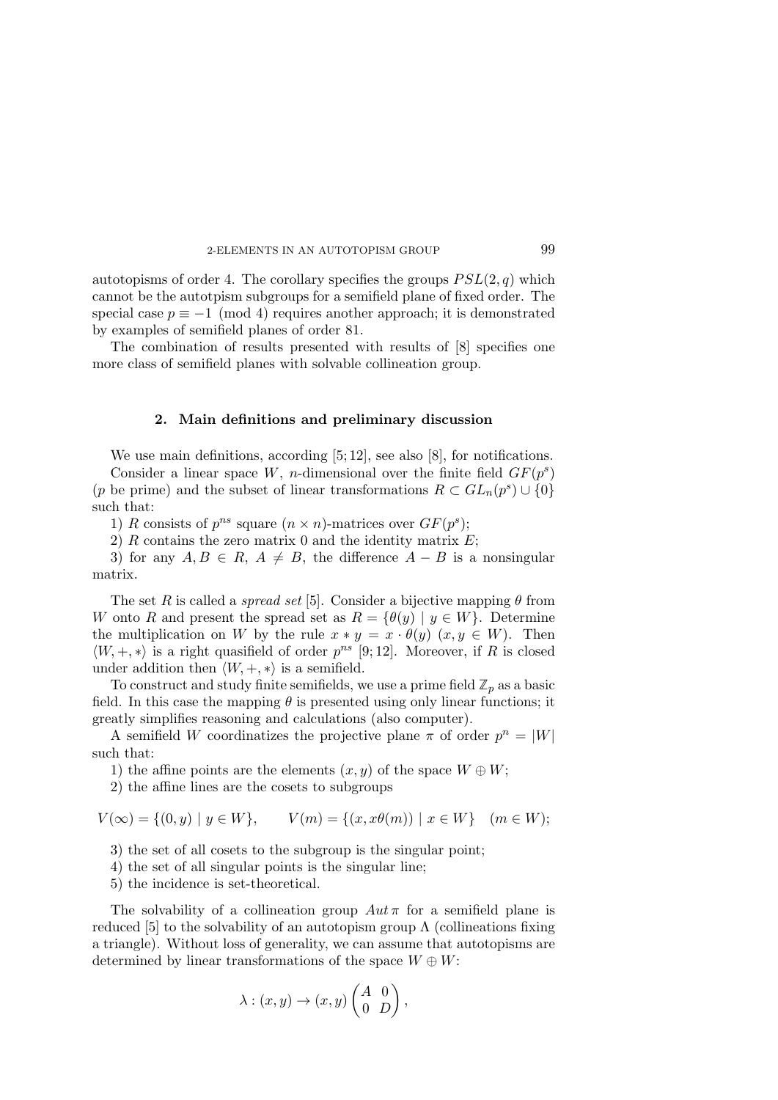autotopisms of order 4. The corollary specifies the groups  $PSL(2, q)$  which cannot be the autotpism subgroups for a semifield plane of fixed order. The special case  $p \equiv -1 \pmod{4}$  requires another approach; it is demonstrated by examples of semifield planes of order 81.

The combination of results presented with results of [8] specifies one more class of semifield planes with solvable collineation group.

#### 2. Main definitions and preliminary discussion

We use main definitions, according [5; 12], see also [8], for notifications.

Consider a linear space W, n-dimensional over the finite field  $GF(p^s)$ (p be prime) and the subset of linear transformations  $R \subset GL_n(p^s) \cup \{0\}$ such that:

1) R consists of  $p^{ns}$  square  $(n \times n)$ -matrices over  $GF(p^s);$ 

2)  $R$  contains the zero matrix 0 and the identity matrix  $E$ ;

3) for any  $A, B \in R$ ,  $A \neq B$ , the difference  $A - B$  is a nonsingular matrix.

The set R is called a *spread set* [5]. Consider a bijective mapping  $\theta$  from W onto R and present the spread set as  $R = \{\theta(y) | y \in W\}$ . Determine the multiplication on W by the rule  $x * y = x \cdot \theta(y)$   $(x, y \in W)$ . Then  $\langle W, +, * \rangle$  is a right quasifield of order  $p^{ns}$  [9; 12]. Moreover, if R is closed under addition then  $\langle W, +, * \rangle$  is a semifield.

To construct and study finite semifields, we use a prime field  $\mathbb{Z}_p$  as a basic field. In this case the mapping  $\theta$  is presented using only linear functions; it greatly simplifies reasoning and calculations (also computer).

A semifield W coordinatizes the projective plane  $\pi$  of order  $p^n = |W|$ such that:

1) the affine points are the elements  $(x, y)$  of the space  $W \oplus W$ ;

2) the affine lines are the cosets to subgroups

$$
V(\infty) = \{(0, y) \mid y \in W\}, \qquad V(m) = \{(x, x\theta(m)) \mid x \in W\} \quad (m \in W);
$$

3) the set of all cosets to the subgroup is the singular point;

- 4) the set of all singular points is the singular line;
- 5) the incidence is set-theoretical.

The solvability of a collineation group  $Aut \pi$  for a semifield plane is reduced [5] to the solvability of an autotopism group  $\Lambda$  (collineations fixing a triangle). Without loss of generality, we can assume that autotopisms are determined by linear transformations of the space  $W \oplus W$ :

$$
\lambda : (x, y) \to (x, y) \begin{pmatrix} A & 0 \\ 0 & D \end{pmatrix},
$$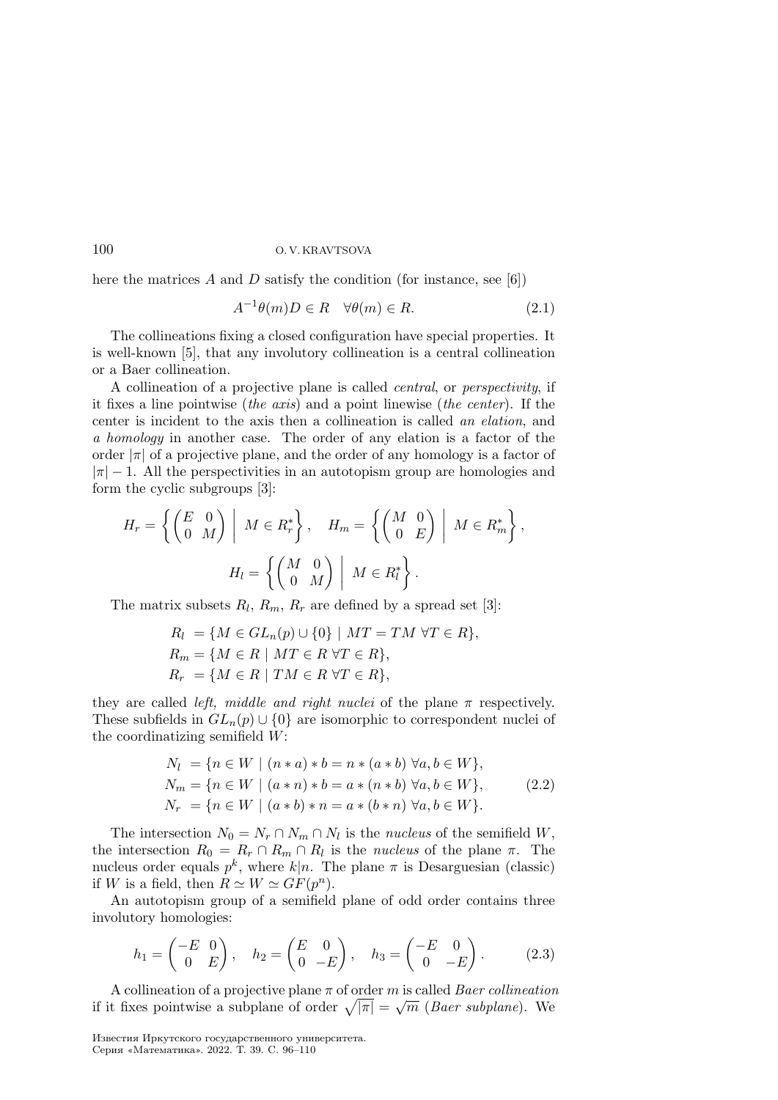here the matrices A and D satisfy the condition (for instance, see [6])

$$
A^{-1}\theta(m)D \in R \quad \forall \theta(m) \in R. \tag{2.1}
$$

The collineations fixing a closed configuration have special properties. It is well-known [5], that any involutory collineation is a central collineation or a Baer collineation.

A collineation of a projective plane is called central, or perspectivity, if it fixes a line pointwise (the axis) and a point linewise (the center). If the center is incident to the axis then a collineation is called an elation, and a homology in another case. The order of any elation is a factor of the order  $|\pi|$  of a projective plane, and the order of any homology is a factor of  $|\pi| - 1$ . All the perspectivities in an autotopism group are homologies and form the cyclic subgroups [3]:

$$
H_r = \left\{ \begin{pmatrix} E & 0 \\ 0 & M \end{pmatrix} \middle| M \in R_r^* \right\}, \quad H_m = \left\{ \begin{pmatrix} M & 0 \\ 0 & E \end{pmatrix} \middle| M \in R_m^* \right\},
$$

$$
H_l = \left\{ \begin{pmatrix} M & 0 \\ 0 & M \end{pmatrix} \middle| M \in R_l^* \right\}.
$$

The matrix subsets  $R_l, R_m, R_r$  are defined by a spread set [3]:

$$
R_l = \{ M \in GL_n(p) \cup \{0\} \mid MT = TM \,\forall T \in R \},
$$
  
\n
$$
R_m = \{ M \in R \mid MT \in R \,\forall T \in R \},
$$
  
\n
$$
R_r = \{ M \in R \mid TM \in R \,\forall T \in R \},
$$

they are called *left*, middle and right nuclei of the plane  $\pi$  respectively. These subfields in  $GL_n(p) \cup \{0\}$  are isomorphic to correspondent nuclei of the coordinatizing semifield  $W$ :

$$
N_l = \{ n \in W \mid (n * a) * b = n * (a * b) \; \forall a, b \in W \},
$$
  
\n
$$
N_m = \{ n \in W \mid (a * n) * b = a * (n * b) \; \forall a, b \in W \},
$$
  
\n
$$
N_r = \{ n \in W \mid (a * b) * n = a * (b * n) \; \forall a, b \in W \}.
$$
\n(2.2)

The intersection  $N_0 = N_r \cap N_m \cap N_l$  is the *nucleus* of the semifield W, the intersection  $R_0 = R_r \cap R_m \cap R_l$  is the *nucleus* of the plane  $\pi$ . The nucleus order equals  $p^k$ , where  $k|n$ . The plane  $\pi$  is Desarguesian (classic) if W is a field, then  $R \simeq W \simeq GF(p^n)$ .

An autotopism group of a semifield plane of odd order contains three involutory homologies:

$$
h_1 = \begin{pmatrix} -E & 0 \\ 0 & E \end{pmatrix}, \quad h_2 = \begin{pmatrix} E & 0 \\ 0 & -E \end{pmatrix}, \quad h_3 = \begin{pmatrix} -E & 0 \\ 0 & -E \end{pmatrix}.
$$
 (2.3)

A collineation of a projective plane  $\pi$  of order  $m$  is called *Baer collineation* if it fixes pointwise a subplane of order  $\sqrt{|\pi|} = \sqrt{m}$  (Baer subplane). We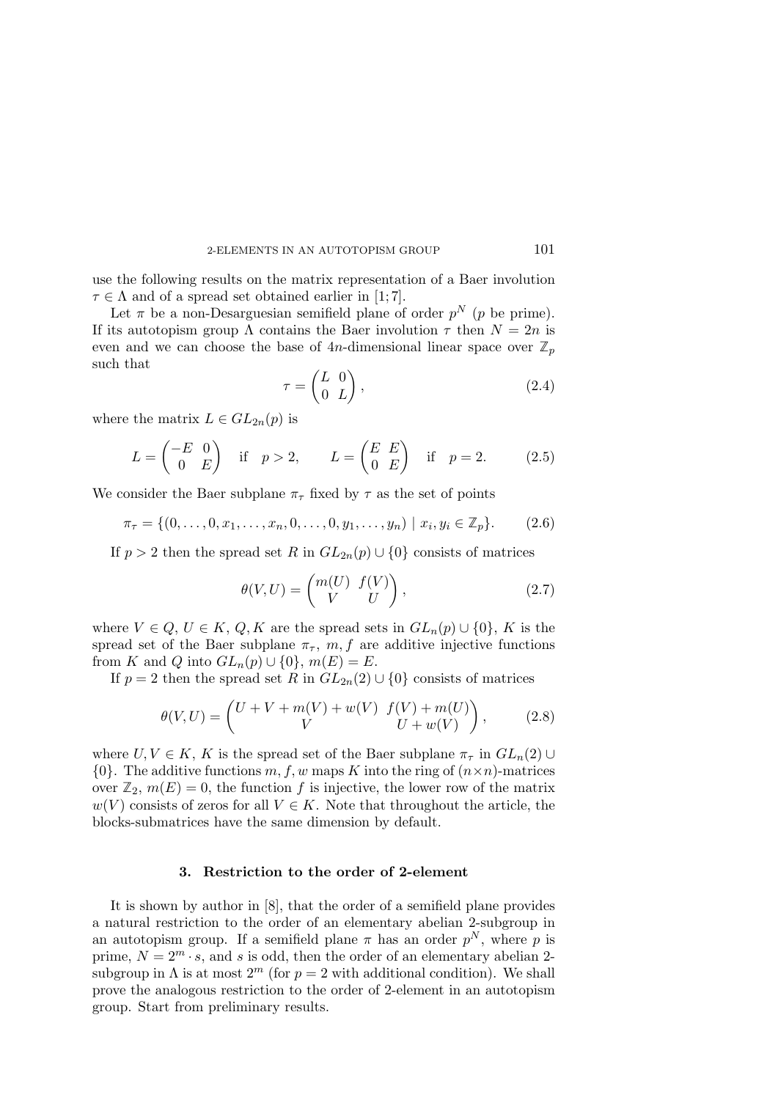use the following results on the matrix representation of a Baer involution  $\tau \in \Lambda$  and of a spread set obtained earlier in [1; 7].

Let  $\pi$  be a non-Desarguesian semifield plane of order  $p^N$  ( $p$  be prime). If its autotopism group  $\Lambda$  contains the Baer involution  $\tau$  then  $N = 2n$  is even and we can choose the base of 4n-dimensional linear space over  $\mathbb{Z}_p$ such that

$$
\tau = \begin{pmatrix} L & 0 \\ 0 & L \end{pmatrix},\tag{2.4}
$$

where the matrix  $L \in GL_{2n}(p)$  is

$$
L = \begin{pmatrix} -E & 0 \\ 0 & E \end{pmatrix} \quad \text{if} \quad p > 2, \qquad L = \begin{pmatrix} E & E \\ 0 & E \end{pmatrix} \quad \text{if} \quad p = 2. \tag{2.5}
$$

We consider the Baer subplane  $\pi_{\tau}$  fixed by  $\tau$  as the set of points

$$
\pi_{\tau} = \{ (0, \ldots, 0, x_1, \ldots, x_n, 0, \ldots, 0, y_1, \ldots, y_n) \mid x_i, y_i \in \mathbb{Z}_p \}. \tag{2.6}
$$

If  $p > 2$  then the spread set R in  $GL_{2n}(p) \cup \{0\}$  consists of matrices

$$
\theta(V,U) = \begin{pmatrix} m(U) & f(V) \\ V & U \end{pmatrix}, \tag{2.7}
$$

where  $V \in Q, U \in K, Q, K$  are the spread sets in  $GL_n(p) \cup \{0\}, K$  is the spread set of the Baer subplane  $\pi_{\tau}$ ,  $m, f$  are additive injective functions from K and Q into  $GL_n(p) \cup \{0\}$ ,  $m(E) = E$ .

If  $p = 2$  then the spread set R in  $GL_{2n}(2) \cup \{0\}$  consists of matrices

$$
\theta(V, U) = \begin{pmatrix} U + V + m(V) + w(V) & f(V) + m(U) \\ V & U + w(V) \end{pmatrix}, \quad (2.8)
$$

where  $U, V \in K$ , K is the spread set of the Baer subplane  $\pi_{\tau}$  in  $GL_n(2) \cup$  $\{0\}$ . The additive functions  $m, f, w$  maps K into the ring of  $(n \times n)$ -matrices over  $\mathbb{Z}_2$ ,  $m(E) = 0$ , the function f is injective, the lower row of the matrix  $w(V)$  consists of zeros for all  $V \in K$ . Note that throughout the article, the blocks-submatrices have the same dimension by default.

#### 3. Restriction to the order of 2-element

It is shown by author in [8], that the order of a semifield plane provides a natural restriction to the order of an elementary abelian 2-subgroup in an autotopism group. If a semifield plane  $\pi$  has an order  $p^N$ , where p is prime,  $N = 2^m \cdot s$ , and s is odd, then the order of an elementary abelian 2subgroup in  $\Lambda$  is at most  $2^m$  (for  $p = 2$  with additional condition). We shall prove the analogous restriction to the order of 2-element in an autotopism group. Start from preliminary results.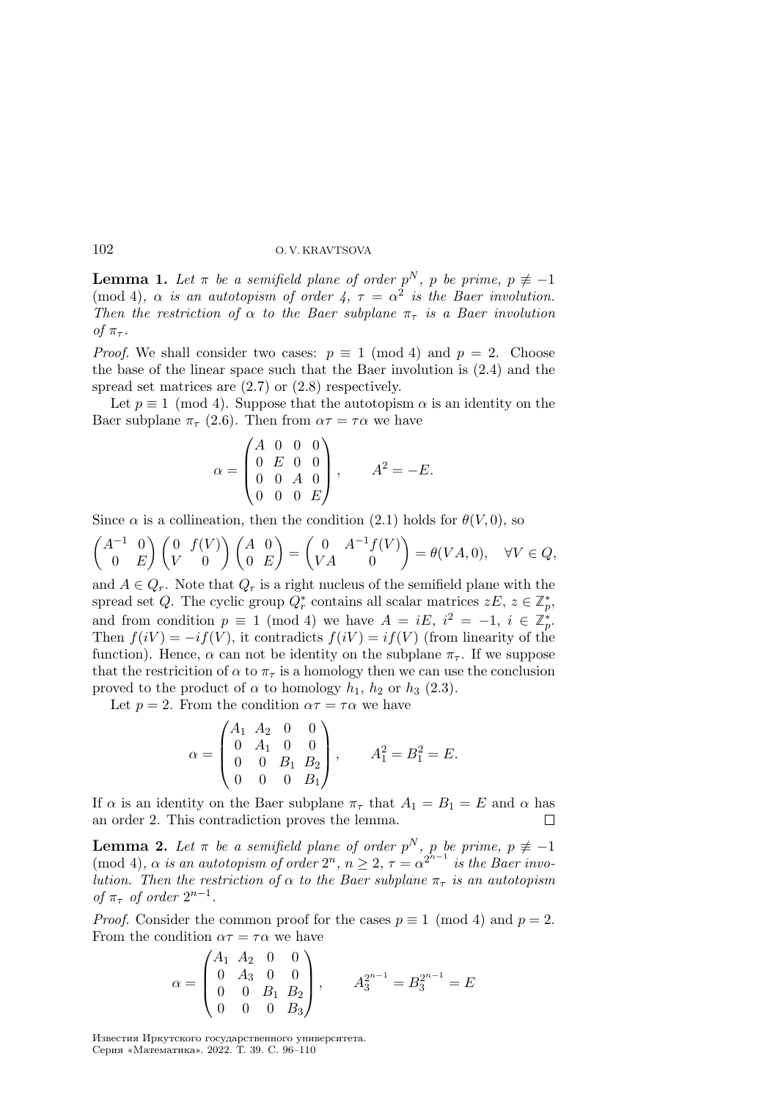**Lemma 1.** Let  $\pi$  be a semifield plane of order  $p^N$ , p be prime,  $p \neq -1$ (mod 4),  $\alpha$  is an autotopism of order 4,  $\tau = \alpha^2$  is the Baer involution. Then the restriction of  $\alpha$  to the Baer subplane  $\pi_{\tau}$  is a Baer involution of  $\pi_{\tau}$ .

*Proof.* We shall consider two cases:  $p \equiv 1 \pmod{4}$  and  $p = 2$ . Choose the base of the linear space such that the Baer involution is (2.4) and the spread set matrices are (2.7) or (2.8) respectively.

Let  $p \equiv 1 \pmod{4}$ . Suppose that the autotopism  $\alpha$  is an identity on the Baer subplane  $\pi_{\tau}$  (2.6). Then from  $\alpha \tau = \tau \alpha$  we have

$$
\alpha = \begin{pmatrix} A & 0 & 0 & 0 \\ 0 & E & 0 & 0 \\ 0 & 0 & A & 0 \\ 0 & 0 & 0 & E \end{pmatrix}, \qquad A^2 = -E.
$$

Since  $\alpha$  is a collineation, then the condition (2.1) holds for  $\theta(V, 0)$ , so

$$
\begin{pmatrix} A^{-1} & 0 \\ 0 & E \end{pmatrix} \begin{pmatrix} 0 & f(V) \\ V & 0 \end{pmatrix} \begin{pmatrix} A & 0 \\ 0 & E \end{pmatrix} = \begin{pmatrix} 0 & A^{-1}f(V) \\ VA & 0 \end{pmatrix} = \theta(VA, 0), \quad \forall V \in Q,
$$

and  $A \in Q_r$ . Note that  $Q_r$  is a right nucleus of the semifield plane with the spread set Q. The cyclic group  $Q_r^*$  contains all scalar matrices  $zE, z \in \mathbb{Z}_p^*$ , and from condition  $p \equiv 1 \pmod{4}$  we have  $A = iE, i^2 = -1, i \in \mathbb{Z}_p^*$ . Then  $f(iV) = -if(V)$ , it contradicts  $f(iV) = if(V)$  (from linearity of the function). Hence,  $\alpha$  can not be identity on the subplane  $\pi_{\tau}$ . If we suppose that the restricition of  $\alpha$  to  $\pi_{\tau}$  is a homology then we can use the conclusion proved to the product of  $\alpha$  to homology  $h_1$ ,  $h_2$  or  $h_3$  (2.3).

Let  $p = 2$ . From the condition  $\alpha \tau = \tau \alpha$  we have

$$
\alpha = \begin{pmatrix} A_1 & A_2 & 0 & 0 \\ 0 & A_1 & 0 & 0 \\ 0 & 0 & B_1 & B_2 \\ 0 & 0 & 0 & B_1 \end{pmatrix}, \qquad A_1^2 = B_1^2 = E.
$$

If  $\alpha$  is an identity on the Baer subplane  $\pi_{\tau}$  that  $A_1 = B_1 = E$  and  $\alpha$  has an order 2. This contradiction proves the lemma.

**Lemma 2.** Let  $\pi$  be a semifield plane of order  $p^N$ , p be prime,  $p \neq -1$ (mod 4),  $\alpha$  is an autotopism of order  $2^n$ ,  $n \geq 2$ ,  $\tau = \alpha^{2^{n-1}}$  is the Baer involution. Then the restriction of  $\alpha$  to the Baer subplane  $\pi_{\tau}$  is an autotopism of  $\pi_{\tau}$  of order  $2^{n-1}$ .

*Proof.* Consider the common proof for the cases  $p \equiv 1 \pmod{4}$  and  $p = 2$ . From the condition  $\alpha \tau = \tau \alpha$  we have

$$
\alpha = \begin{pmatrix} A_1 & A_2 & 0 & 0 \\ 0 & A_3 & 0 & 0 \\ 0 & 0 & B_1 & B_2 \\ 0 & 0 & 0 & B_3 \end{pmatrix}, \qquad A_3^{2^{n-1}} = B_3^{2^{n-1}} = E
$$

Известия Иркутского государственного университета. Серия «Математика». 2022. Т. 39. С. 96–110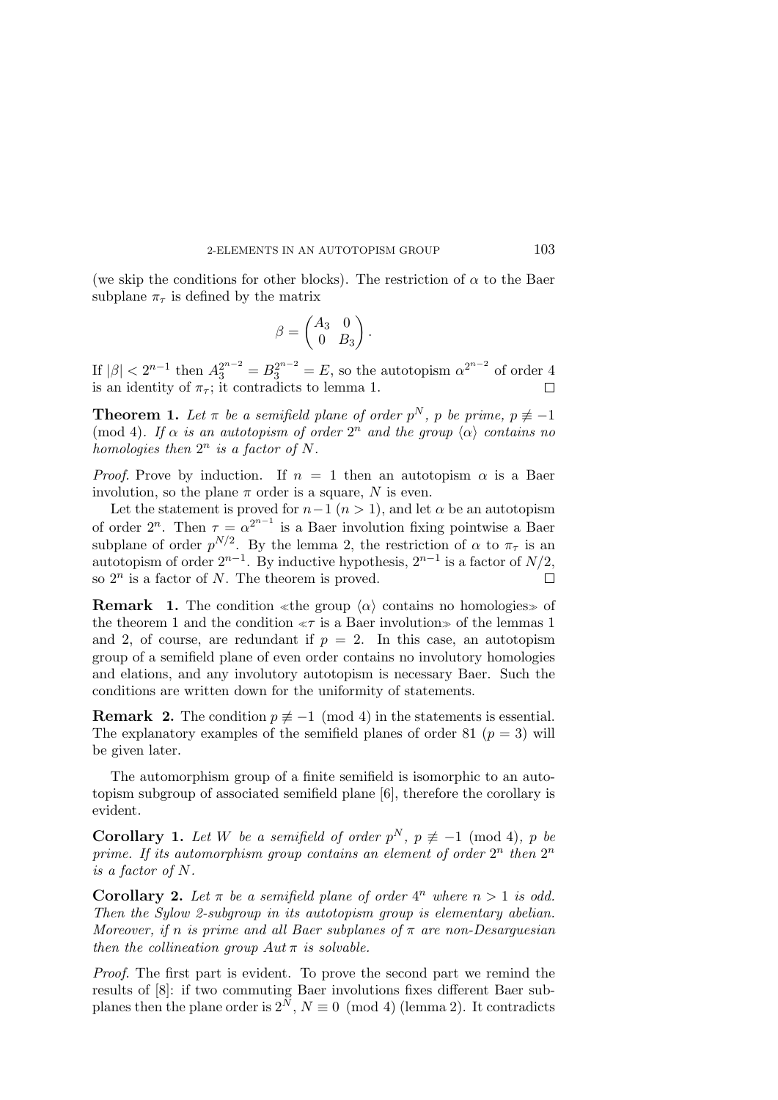(we skip the conditions for other blocks). The restriction of  $\alpha$  to the Baer subplane  $\pi_{\tau}$  is defined by the matrix

$$
\beta = \begin{pmatrix} A_3 & 0 \\ 0 & B_3 \end{pmatrix}.
$$

If  $|\beta| < 2^{n-1}$  then  $A_3^{2^{n-2}} = B_3^{2^{n-2}} = E$ , so the autotopism  $\alpha^{2^{n-2}}$  of order 4 is an identity of  $\pi_{\tau}$ ; it contradicts to lemma 1.  $\Box$ 

**Theorem 1.** Let  $\pi$  be a semifield plane of order  $p^N$ , p be prime,  $p \neq -1$ (mod 4). If  $\alpha$  is an autotopism of order  $2^n$  and the group  $\langle \alpha \rangle$  contains no homologies then  $2^n$  is a factor of N.

*Proof.* Prove by induction. If  $n = 1$  then an autotopism  $\alpha$  is a Baer involution, so the plane  $\pi$  order is a square, N is even.

Let the statement is proved for  $n-1$   $(n > 1)$ , and let  $\alpha$  be an autotopism of order  $2^n$ . Then  $\tau = \alpha^{2^{n-1}}$  is a Baer involution fixing pointwise a Baer subplane of order  $p^{N/2}$ . By the lemma 2, the restriction of  $\alpha$  to  $\pi_{\tau}$  is an autotopism of order  $2^{n-1}$ . By inductive hypothesis,  $2^{n-1}$  is a factor of  $N/2$ , so  $2^n$  is a factor of N. The theorem is proved.  $\Box$ 

**Remark** 1. The condition «the group  $\langle \alpha \rangle$  contains no homologies» of the theorem 1 and the condition  $\ll \tau$  is a Baer involution≫ of the lemmas 1 and 2, of course, are redundant if  $p = 2$ . In this case, an autotopism group of a semifield plane of even order contains no involutory homologies and elations, and any involutory autotopism is necessary Baer. Such the conditions are written down for the uniformity of statements.

**Remark 2.** The condition  $p \neq -1 \pmod{4}$  in the statements is essential. The explanatory examples of the semifield planes of order 81 ( $p = 3$ ) will be given later.

The automorphism group of a finite semifield is isomorphic to an autotopism subgroup of associated semifield plane [6], therefore the corollary is evident.

**Corollary 1.** Let W be a semifield of order  $p^N$ ,  $p \not\equiv -1 \pmod{4}$ , p be prime. If its automorphism group contains an element of order  $2^n$  then  $2^n$ is a factor of  $N$ .

**Corollary 2.** Let  $\pi$  be a semifield plane of order  $4^n$  where  $n > 1$  is odd. Then the Sylow 2-subgroup in its autotopism group is elementary abelian. Moreover, if n is prime and all Baer subplanes of  $\pi$  are non-Desarguesian then the collineation group  $Aut \pi$  is solvable.

Proof. The first part is evident. To prove the second part we remind the results of [8]: if two commuting Baer involutions fixes different Baer subplanes then the plane order is  $2^{\overline{N}}$ ,  $N \equiv 0 \pmod{4}$  (lemma 2). It contradicts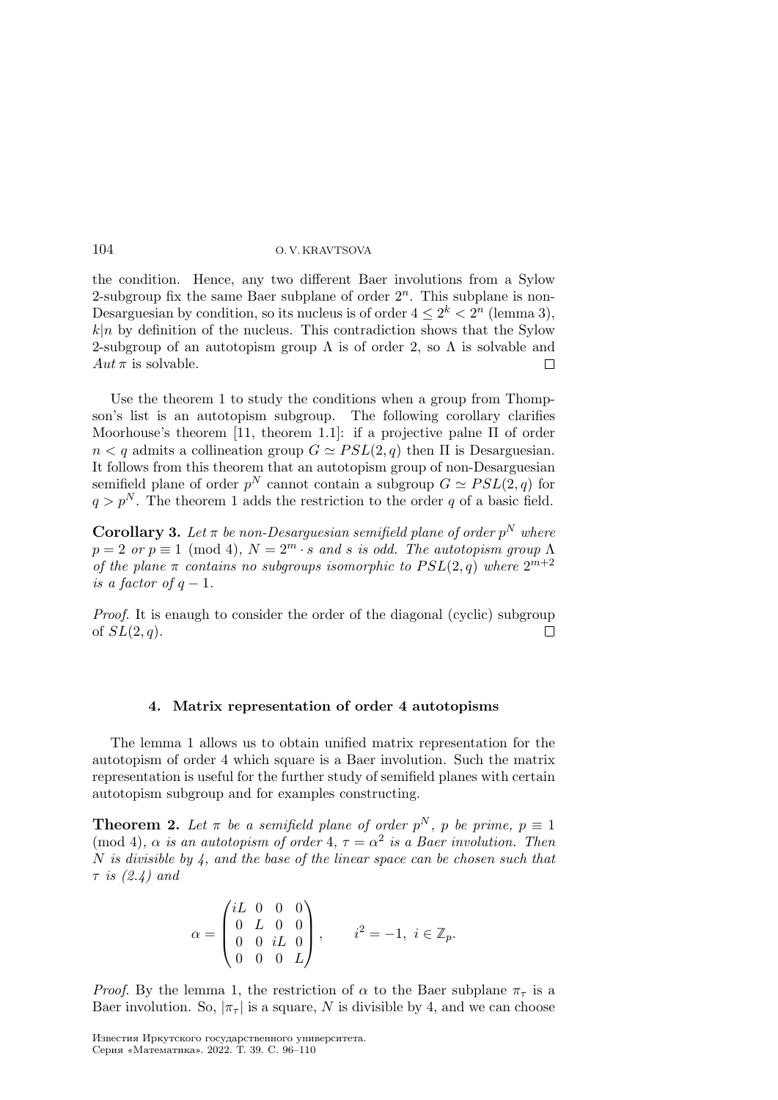the condition. Hence, any two different Baer involutions from a Sylow 2-subgroup fix the same Baer subplane of order  $2<sup>n</sup>$ . This subplane is non-Desarguesian by condition, so its nucleus is of order  $4 \leq 2^k < 2^n$  (lemma 3),  $k|n$  by definition of the nucleus. This contradiction shows that the Sylow 2-subgroup of an autotopism group  $\Lambda$  is of order 2, so  $\Lambda$  is solvable and  $Aut \pi$  is solvable.  $\Box$ 

Use the theorem 1 to study the conditions when a group from Thompson's list is an autotopism subgroup. The following corollary clarifies Moorhouse's theorem [11, theorem 1.1]: if a projective palne Π of order  $n < q$  admits a collineation group  $G \simeq PSL(2,q)$  then  $\Pi$  is Desarguesian. It follows from this theorem that an autotopism group of non-Desarguesian semifield plane of order  $p^N$  cannot contain a subgroup  $G \simeq PSL(2,q)$  for  $q > p^N$ . The theorem 1 adds the restriction to the order q of a basic field.

**Corollary 3.** Let  $\pi$  be non-Desarguesian semifield plane of order  $p^N$  where  $p = 2$  or  $p \equiv 1 \pmod{4}$ ,  $N = 2^m \cdot s$  and s is odd. The autotopism group  $\Lambda$ of the plane  $\pi$  contains no subgroups isomorphic to  $PSL(2,q)$  where  $2^{m+2}$ is a factor of  $q-1$ .

Proof. It is enaugh to consider the order of the diagonal (cyclic) subgroup of  $SL(2, q)$ .  $\Box$ 

### 4. Matrix representation of order 4 autotopisms

The lemma 1 allows us to obtain unified matrix representation for the autotopism of order 4 which square is a Baer involution. Such the matrix representation is useful for the further study of semifield planes with certain autotopism subgroup and for examples constructing.

**Theorem 2.** Let  $\pi$  be a semifield plane of order  $p^N$ , p be prime,  $p \equiv 1$ (mod 4),  $\alpha$  is an autotopism of order 4,  $\tau = \alpha^2$  is a Baer involution. Then  $N$  is divisible by 4, and the base of the linear space can be chosen such that  $\tau$  is  $(2.4)$  and

$$
\alpha = \begin{pmatrix} iL & 0 & 0 & 0 \\ 0 & L & 0 & 0 \\ 0 & 0 & iL & 0 \\ 0 & 0 & 0 & L \end{pmatrix}, \qquad i^2 = -1, \ i \in \mathbb{Z}_p.
$$

*Proof.* By the lemma 1, the restriction of  $\alpha$  to the Baer subplane  $\pi_{\tau}$  is a Baer involution. So,  $|\pi_{\tau}|$  is a square, N is divisible by 4, and we can choose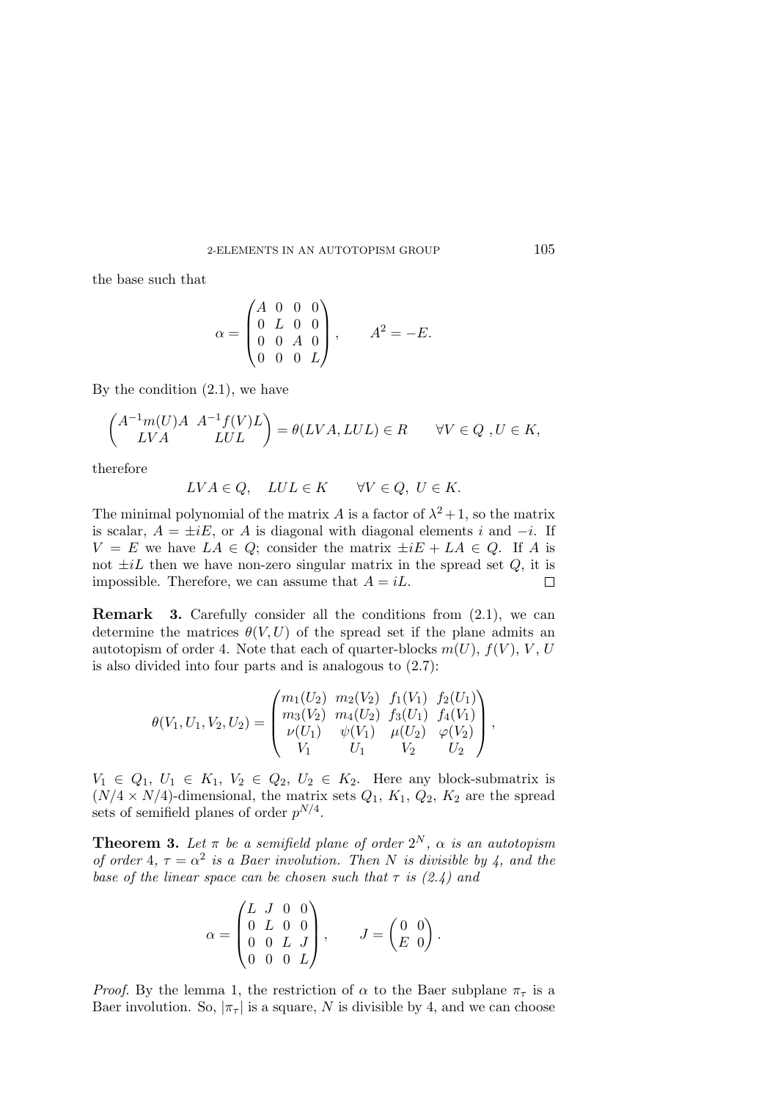the base such that

$$
\alpha = \begin{pmatrix} A & 0 & 0 & 0 \\ 0 & L & 0 & 0 \\ 0 & 0 & A & 0 \\ 0 & 0 & 0 & L \end{pmatrix}, \qquad A^2 = -E.
$$

By the condition  $(2.1)$ , we have

$$
\begin{pmatrix} A^{-1}m(U)A & A^{-1}f(V)L \\ LV A & LUL \end{pmatrix} = \theta(LVA, LUL) \in R \qquad \forall V \in Q \text{ , } U \in K,
$$

therefore

$$
LVA \in Q, \quad LUL \in K \qquad \forall V \in Q, \ U \in K.
$$

The minimal polynomial of the matrix A is a factor of  $\lambda^2 + 1$ , so the matrix is scalar,  $A = \pm iE$ , or A is diagonal with diagonal elements i and  $-i$ . If  $V = E$  we have  $LA \in Q$ ; consider the matrix  $\pm iE + LA \in Q$ . If A is not  $\pm iL$  then we have non-zero singular matrix in the spread set  $Q$ , it is impossible. Therefore, we can assume that  $A = iL$ .  $\Box$ 

Remark 3. Carefully consider all the conditions from (2.1), we can determine the matrices  $\theta(V, U)$  of the spread set if the plane admits an autotopism of order 4. Note that each of quarter-blocks  $m(U)$ ,  $f(V)$ ,  $V$ ,  $U$ is also divided into four parts and is analogous to (2.7):

$$
\theta(V_1, U_1, V_2, U_2) = \begin{pmatrix} m_1(U_2) & m_2(V_2) & f_1(V_1) & f_2(U_1) \\ m_3(V_2) & m_4(U_2) & f_3(U_1) & f_4(V_1) \\ \nu(U_1) & \psi(V_1) & \mu(U_2) & \varphi(V_2) \\ V_1 & U_1 & V_2 & U_2 \end{pmatrix},
$$

 $V_1 \in Q_1, U_1 \in K_1, V_2 \in Q_2, U_2 \in K_2$ . Here any block-submatrix is  $(N/4 \times N/4)$ -dimensional, the matrix sets  $Q_1, K_1, Q_2, K_2$  are the spread sets of semifield planes of order  $p^{N/4}$ .

**Theorem 3.** Let  $\pi$  be a semifield plane of order  $2^N$ ,  $\alpha$  is an autotopism of order 4,  $\tau = \alpha^2$  is a Baer involution. Then N is divisible by 4, and the base of the linear space can be chosen such that  $\tau$  is (2.4) and

$$
\alpha = \begin{pmatrix} L & J & 0 & 0 \\ 0 & L & 0 & 0 \\ 0 & 0 & L & J \\ 0 & 0 & 0 & L \end{pmatrix}, \qquad J = \begin{pmatrix} 0 & 0 \\ E & 0 \end{pmatrix}.
$$

*Proof.* By the lemma 1, the restriction of  $\alpha$  to the Baer subplane  $\pi_{\tau}$  is a Baer involution. So,  $|\pi_{\tau}|$  is a square, N is divisible by 4, and we can choose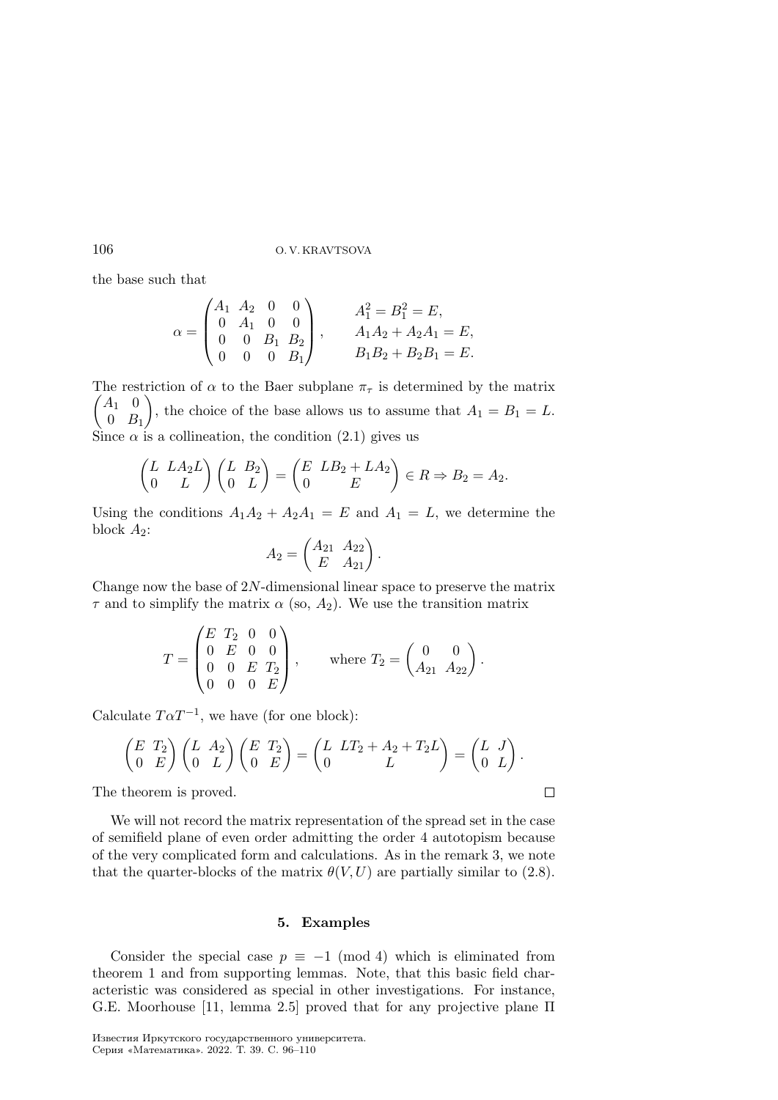the base such that

$$
\alpha = \begin{pmatrix} A_1 & A_2 & 0 & 0 \\ 0 & A_1 & 0 & 0 \\ 0 & 0 & B_1 & B_2 \\ 0 & 0 & 0 & B_1 \end{pmatrix}, \qquad \begin{aligned} A_1^2 &= B_1^2 = E, \\ A_1 A_2 + A_2 A_1 &= E, \\ B_1 B_2 + B_2 B_1 &= E. \end{aligned}
$$

 $\begin{pmatrix} A_1 & 0 \end{pmatrix}$ The restriction of  $\alpha$  to the Baer subplane  $\pi_{\tau}$  is determined by the matrix  $0$   $B_1$ ), the choice of the base allows us to assume that  $A_1 = B_1 = L$ . Since  $\alpha$  is a collineation, the condition (2.1) gives us

$$
\begin{pmatrix} L & L A_2 L \\ 0 & L \end{pmatrix} \begin{pmatrix} L & B_2 \\ 0 & L \end{pmatrix} = \begin{pmatrix} E & L B_2 + L A_2 \\ 0 & E \end{pmatrix} \in R \Rightarrow B_2 = A_2.
$$

Using the conditions  $A_1A_2 + A_2A_1 = E$  and  $A_1 = L$ , we determine the block  $A_2$ :

$$
A_2 = \begin{pmatrix} A_{21} & A_{22} \\ E & A_{21} \end{pmatrix}.
$$

Change now the base of  $2N$ -dimensional linear space to preserve the matrix  $\tau$  and to simplify the matrix  $\alpha$  (so,  $A_2$ ). We use the transition matrix

$$
T = \begin{pmatrix} E & T_2 & 0 & 0 \\ 0 & E & 0 & 0 \\ 0 & 0 & E & T_2 \\ 0 & 0 & 0 & E \end{pmatrix}, \quad \text{where } T_2 = \begin{pmatrix} 0 & 0 \\ A_{21} & A_{22} \end{pmatrix}.
$$

Calculate  $T\alpha T^{-1}$ , we have (for one block):

$$
\begin{pmatrix} E & T_2 \\ 0 & E \end{pmatrix} \begin{pmatrix} L & A_2 \\ 0 & L \end{pmatrix} \begin{pmatrix} E & T_2 \\ 0 & E \end{pmatrix} = \begin{pmatrix} L & LT_2 + A_2 + T_2L \\ 0 & L \end{pmatrix} = \begin{pmatrix} L & J \\ 0 & L \end{pmatrix}.
$$

 $\Box$ 

The theorem is proved.

We will not record the matrix representation of the spread set in the case of semifield plane of even order admitting the order 4 autotopism because of the very complicated form and calculations. As in the remark 3, we note that the quarter-blocks of the matrix  $\theta(V, U)$  are partially similar to (2.8).

#### 5. Examples

Consider the special case  $p \equiv -1 \pmod{4}$  which is eliminated from theorem 1 and from supporting lemmas. Note, that this basic field characteristic was considered as special in other investigations. For instance, G.E. Moorhouse [11, lemma 2.5] proved that for any projective plane Π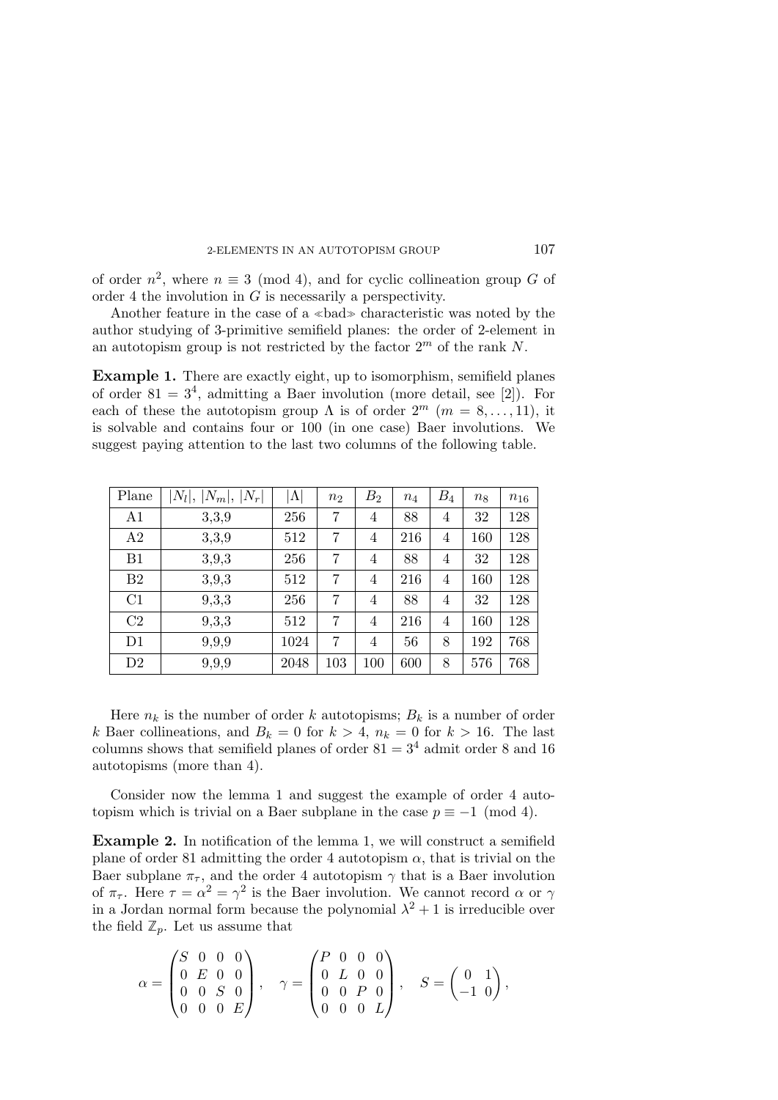of order  $n^2$ , where  $n \equiv 3 \pmod{4}$ , and for cyclic collineation group G of order 4 the involution in  $G$  is necessarily a perspectivity.

Another feature in the case of a <sup>≪</sup>bad<sup>≫</sup> characteristic was noted by the author studying of 3-primitive semifield planes: the order of 2-element in an autotopism group is not restricted by the factor  $2<sup>m</sup>$  of the rank N.

Example 1. There are exactly eight, up to isomorphism, semifield planes of order  $81 = 3<sup>4</sup>$ , admitting a Baer involution (more detail, see [2]). For each of these the autotopism group  $\Lambda$  is of order  $2^m$  ( $m = 8, \ldots, 11$ ), it is solvable and contains four or 100 (in one case) Baer involutions. We suggest paying attention to the last two columns of the following table.

| Plane          | $ N_l ,  N_m ,  N_r $ | $ \Lambda $ | $n_2$          | B <sub>2</sub> | $n_4$ | $B_4$          | $n_8$ | $n_{16}$ |
|----------------|-----------------------|-------------|----------------|----------------|-------|----------------|-------|----------|
| A <sub>1</sub> | 3,3,9                 | 256         | 7              | 4              | 88    | 4              | 32    | 128      |
| A2             | 3,3,9                 | 512         | 7              | 4              | 216   | 4              | 160   | 128      |
| B1             | 3,9,3                 | 256         | $\overline{7}$ | 4              | 88    | 4              | 32    | 128      |
| B <sub>2</sub> | 3,9,3                 | 512         | 7              | $\overline{4}$ | 216   | $\overline{4}$ | 160   | 128      |
| C1             | 9,3,3                 | 256         | $\overline{7}$ | 4              | 88    | $\overline{4}$ | 32    | 128      |
| C <sub>2</sub> | 9,3,3                 | 512         | 7              | 4              | 216   | 4              | 160   | 128      |
| D1             | 9,9,9                 | 1024        | 7              | $\overline{4}$ | 56    | 8              | 192   | 768      |
| D2             | 9,9,9                 | 2048        | 103            | 100            | 600   | 8              | 576   | 768      |

Here  $n_k$  is the number of order k autotopisms;  $B_k$  is a number of order k Baer collineations, and  $B_k = 0$  for  $k > 4$ ,  $n_k = 0$  for  $k > 16$ . The last columns shows that semifield planes of order  $81 = 3<sup>4</sup>$  admit order 8 and 16 autotopisms (more than 4).

Consider now the lemma 1 and suggest the example of order 4 autotopism which is trivial on a Baer subplane in the case  $p \equiv -1 \pmod{4}$ .

Example 2. In notification of the lemma 1, we will construct a semifield plane of order 81 admitting the order 4 autotopism  $\alpha$ , that is trivial on the Baer subplane  $\pi_{\tau}$ , and the order 4 autotopism  $\gamma$  that is a Baer involution of  $\pi_{\tau}$ . Here  $\tau = \alpha^2 = \gamma^2$  is the Baer involution. We cannot record  $\alpha$  or  $\gamma$ in a Jordan normal form because the polynomial  $\lambda^2 + 1$  is irreducible over the field  $\mathbb{Z}_p$ . Let us assume that

$$
\alpha = \begin{pmatrix} S & 0 & 0 & 0 \\ 0 & E & 0 & 0 \\ 0 & 0 & S & 0 \\ 0 & 0 & 0 & E \end{pmatrix}, \quad \gamma = \begin{pmatrix} P & 0 & 0 & 0 \\ 0 & L & 0 & 0 \\ 0 & 0 & P & 0 \\ 0 & 0 & 0 & L \end{pmatrix}, \quad S = \begin{pmatrix} 0 & 1 \\ -1 & 0 \end{pmatrix},
$$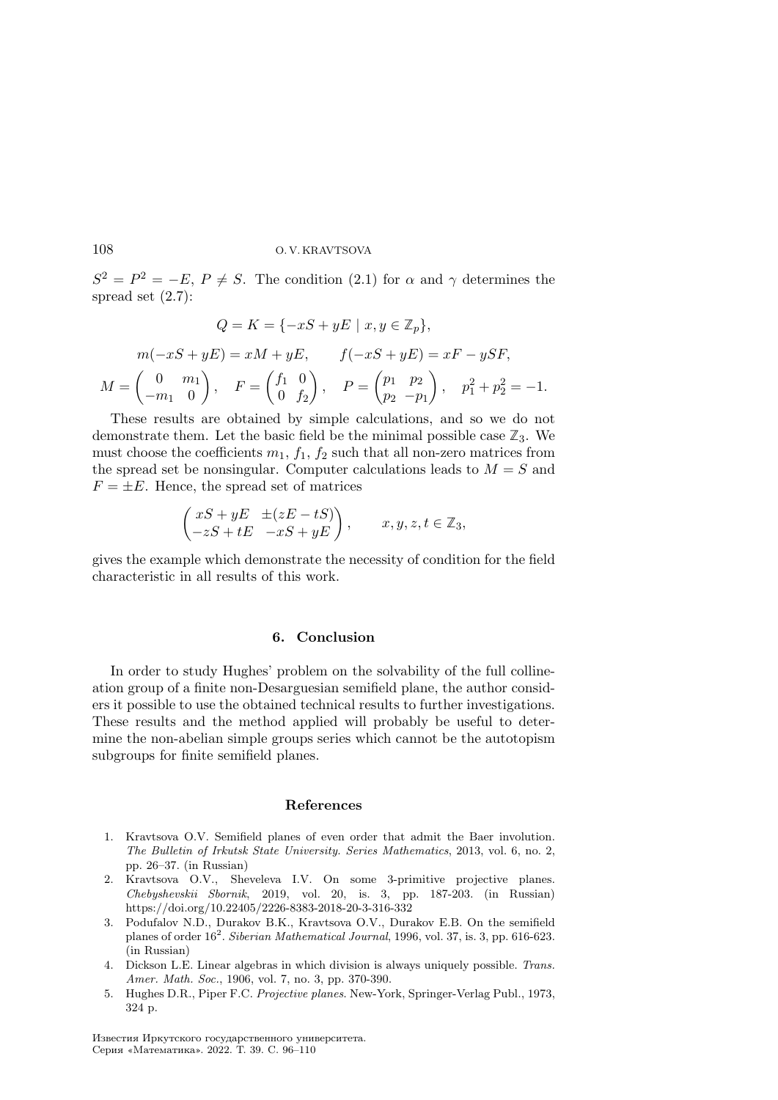$S^2 = P^2 = -E, P \neq S$ . The condition (2.1) for  $\alpha$  and  $\gamma$  determines the spread set (2.7):

$$
Q = K = \{-xS + yE \mid x, y \in \mathbb{Z}_p\},
$$
  
\n
$$
m(-xS + yE) = xM + yE, \qquad f(-xS + yE) = xF - ySF,
$$
  
\n
$$
M = \begin{pmatrix} 0 & m_1 \\ -m_1 & 0 \end{pmatrix}, \quad F = \begin{pmatrix} f_1 & 0 \\ 0 & f_2 \end{pmatrix}, \quad P = \begin{pmatrix} p_1 & p_2 \\ p_2 & -p_1 \end{pmatrix}, \quad p_1^2 + p_2^2 = -1.
$$

These results are obtained by simple calculations, and so we do not demonstrate them. Let the basic field be the minimal possible case  $\mathbb{Z}_3$ . We must choose the coefficients  $m_1$ ,  $f_1$ ,  $f_2$  such that all non-zero matrices from the spread set be nonsingular. Computer calculations leads to  $M = S$  and  $F = \pm E$ . Hence, the spread set of matrices

$$
\begin{pmatrix} xS + yE & \pm (zE - tS) \\ -zS + tE & -xS + yE \end{pmatrix}, \quad x, y, z, t \in \mathbb{Z}_3,
$$

gives the example which demonstrate the necessity of condition for the field characteristic in all results of this work.

#### 6. Conclusion

In order to study Hughes' problem on the solvability of the full collineation group of a finite non-Desarguesian semifield plane, the author considers it possible to use the obtained technical results to further investigations. These results and the method applied will probably be useful to determine the non-abelian simple groups series which cannot be the autotopism subgroups for finite semifield planes.

#### References

- 1. Kravtsova O.V. Semifield planes of even order that admit the Baer involution. The Bulletin of Irkutsk State University. Series Mathematics, 2013, vol. 6, no. 2, pp. 26–37. (in Russian)
- 2. Kravtsova O.V., Sheveleva I.V. On some 3-primitive projective planes. Chebyshevskii Sbornik, 2019, vol. 20, is. 3, pp. 187-203. (in Russian) https://doi.org/10.22405/2226-8383-2018-20-3-316-332
- 3. Podufalov N.D., Durakov B.K., Kravtsova O.V., Durakov E.B. On the semifield planes of order  $16^2$ . Siberian Mathematical Journal, 1996, vol. 37, is. 3, pp. 616-623. (in Russian)
- 4. Dickson L.E. Linear algebras in which division is always uniquely possible. Trans. Amer. Math. Soc., 1906, vol. 7, no. 3, pp. 370-390.
- 5. Hughes D.R., Piper F.C. Projective planes. New-York, Springer-Verlag Publ., 1973, 324 p.

Известия Иркутского государственного университета. Серия «Математика». 2022. Т. 39. С. 96–110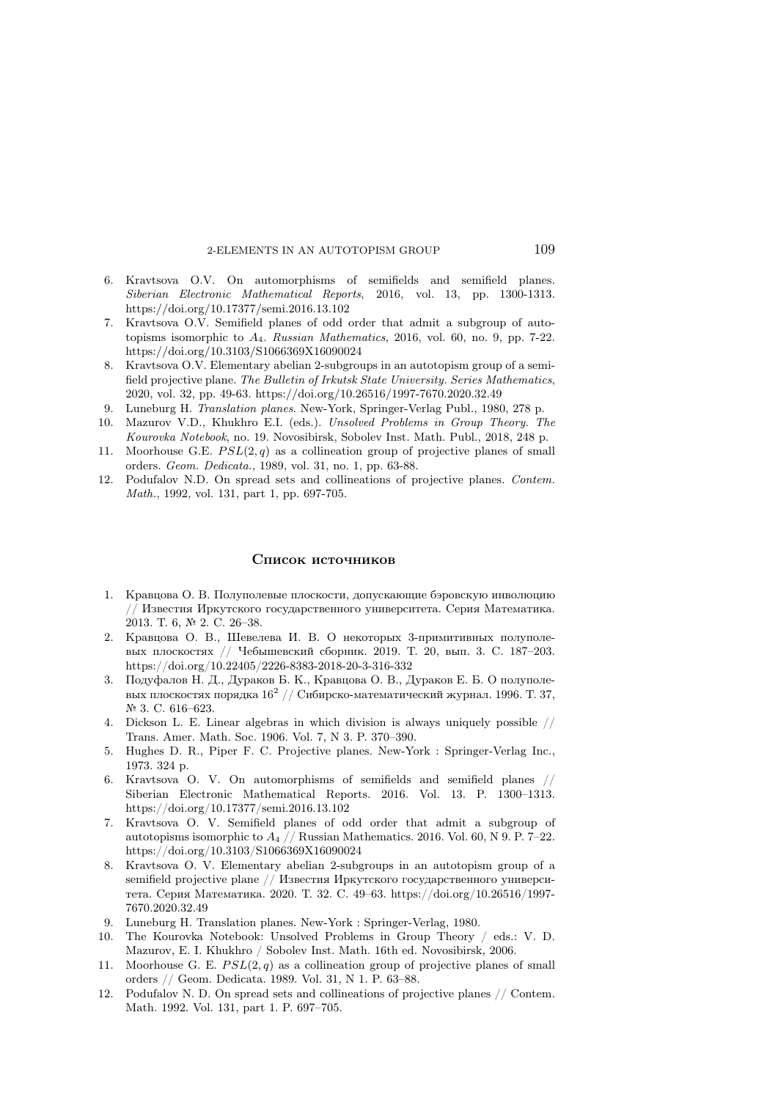- 6. Kravtsova O.V. On automorphisms of semifields and semifield planes. Siberian Electronic Mathematical Reports, 2016, vol. 13, pp. 1300-1313. https://doi.org/10.17377/semi.2016.13.102
- 7. Kravtsova O.V. Semifield planes of odd order that admit a subgroup of autotopisms isomorphic to  $A_4$ . Russian Mathematics, 2016, vol. 60, no. 9, pp. 7-22. https://doi.org/10.3103/S1066369X16090024
- 8. Kravtsova O.V. Elementary abelian 2-subgroups in an autotopism group of a semifield projective plane. The Bulletin of Irkutsk State University. Series Mathematics, 2020, vol. 32, pp. 49-63. https://doi.org/10.26516/1997-7670.2020.32.49
- 9. Luneburg H. Translation planes. New-York, Springer-Verlag Publ., 1980, 278 p.
- 10. Mazurov V.D., Khukhro E.I. (eds.). Unsolved Problems in Group Theory. The Kourovka Notebook, no. 19. Novosibirsk, Sobolev Inst. Math. Publ., 2018, 248 p.
- 11. Moorhouse G.E.  $PSL(2, q)$  as a collineation group of projective planes of small orders. Geom. Dedicata., 1989, vol. 31, no. 1, pp. 63-88.
- 12. Podufalov N.D. On spread sets and collineations of projective planes. Contem. Math., 1992, vol. 131, part 1, pp. 697-705.

#### Список источников

- 1. Кравцова О. В. Полуполевые плоскости, допускающие бэровскую инволюцию // Известия Иркутского государственного университета. Серия Математика. 2013. Т. 6, № 2. С. 26–38.
- 2. Кравцова О. В., Шевелева И. В. О некоторых 3-примитивных полуполевых плоскостях // Чебышевcкий сборник. 2019. Т. 20, вып. 3. С. 187–203. https://doi.org/10.22405/2226-8383-2018-20-3-316-332
- 3. Подуфалов Н. Д., Дураков Б. К., Кравцова О. В., Дураков Е. Б. О полуполевых плоскостях порядка  $16^2$  // Сибирско-математический журнал. 1996. Т. 37, № 3. С. 616–623.
- 4. Dickson L. E. Linear algebras in which division is always uniquely possible // Trans. Amer. Math. Soc. 1906. Vol. 7, N 3. P. 370–390.
- 5. Hughes D. R., Piper F. C. Projective planes. New-York : Springer-Verlag Inc., 1973. 324 p.
- 6. Kravtsova O. V. On automorphisms of semifields and semifield planes // Siberian Electronic Mathematical Reports. 2016. Vol. 13. P. 1300–1313. https://doi.org/10.17377/semi.2016.13.102
- 7. Kravtsova O. V. Semifield planes of odd order that admit a subgroup of autotopisms isomorphic to  $A_4$  // Russian Mathematics. 2016. Vol. 60, N 9. P. 7-22. https://doi.org/10.3103/S1066369X16090024
- 8. Kravtsova O. V. Elementary abelian 2-subgroups in an autotopism group of a semifield projective plane // Известия Иркутского государственного университета. Серия Математика. 2020. Т. 32. С. 49–63. https://doi.org/10.26516/1997- 7670.2020.32.49
- 9. Luneburg H. Translation planes. New-York : Springer-Verlag, 1980.
- 10. The Kourovka Notebook: Unsolved Problems in Group Theory / eds.: V. D. Mazurov, E. I. Khukhro / Sobolev Inst. Math. 16th ed. Novosibirsk, 2006.
- 11. Moorhouse G. E.  $PSL(2, q)$  as a collineation group of projective planes of small orders // Geom. Dedicata. 1989. Vol. 31, N 1. P. 63–88.
- 12. Podufalov N. D. On spread sets and collineations of projective planes // Contem. Math. 1992. Vol. 131, part 1. P. 697–705.